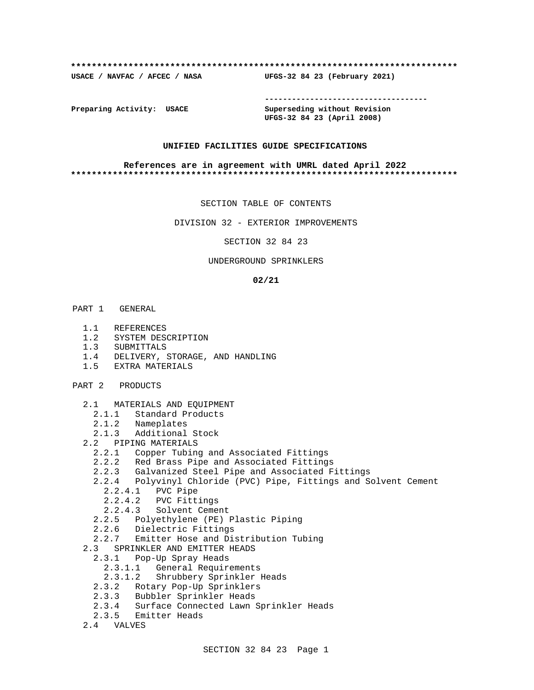#### **\*\*\*\*\*\*\*\*\*\*\*\*\*\*\*\*\*\*\*\*\*\*\*\*\*\*\*\*\*\*\*\*\*\*\*\*\*\*\*\*\*\*\*\*\*\*\*\*\*\*\*\*\*\*\*\*\*\*\*\*\*\*\*\*\*\*\*\*\*\*\*\*\*\***

**USACE / NAVFAC / AFCEC / NASA UFGS-32 84 23 (February 2021)**

**------------------------------------**

**Preparing Activity: USACE Superseding without Revision UFGS-32 84 23 (April 2008)**

#### **UNIFIED FACILITIES GUIDE SPECIFICATIONS**

#### **References are in agreement with UMRL dated April 2022 \*\*\*\*\*\*\*\*\*\*\*\*\*\*\*\*\*\*\*\*\*\*\*\*\*\*\*\*\*\*\*\*\*\*\*\*\*\*\*\*\*\*\*\*\*\*\*\*\*\*\*\*\*\*\*\*\*\*\*\*\*\*\*\*\*\*\*\*\*\*\*\*\*\***

SECTION TABLE OF CONTENTS

DIVISION 32 - EXTERIOR IMPROVEMENTS

SECTION 32 84 23

#### UNDERGROUND SPRINKLERS

#### **02/21**

- PART 1 GENERAL
	- 1.1 REFERENCES
	- 1.2 SYSTEM DESCRIPTION
	- 1.3 SUBMITTALS
	- 1.4 DELIVERY, STORAGE, AND HANDLING
	- 1.5 EXTRA MATERIALS
- PART 2 PRODUCTS
	- 2.1 MATERIALS AND EQUIPMENT
		- 2.1.1 Standard Products
		- 2.1.2 Nameplates
	- 2.1.3 Additional Stock
	- 2.2 PIPING MATERIALS
		- 2.2.1 Copper Tubing and Associated Fittings
		- 2.2.2 Red Brass Pipe and Associated Fittings
		- 2.2.3 Galvanized Steel Pipe and Associated Fittings
		- 2.2.4 Polyvinyl Chloride (PVC) Pipe, Fittings and Solvent Cement
			- 2.2.4.1 PVC Pipe
			- 2.2.4.2 PVC Fittings
			- 2.2.4.3 Solvent Cement
- 2.2.5 Polyethylene (PE) Plastic Piping
- 2.2.6 Dielectric Fittings
	- 2.2.7 Emitter Hose and Distribution Tubing
	- 2.3 SPRINKLER AND EMITTER HEADS
		- 2.3.1 Pop-Up Spray Heads
			- 2.3.1.1 General Requirements
			- 2.3.1.2 Shrubbery Sprinkler Heads
		- 2.3.2 Rotary Pop-Up Sprinklers
		- 2.3.3 Bubbler Sprinkler Heads
		- 2.3.4 Surface Connected Lawn Sprinkler Heads
		- 2.3.5 Emitter Heads
	- 2.4 VALVES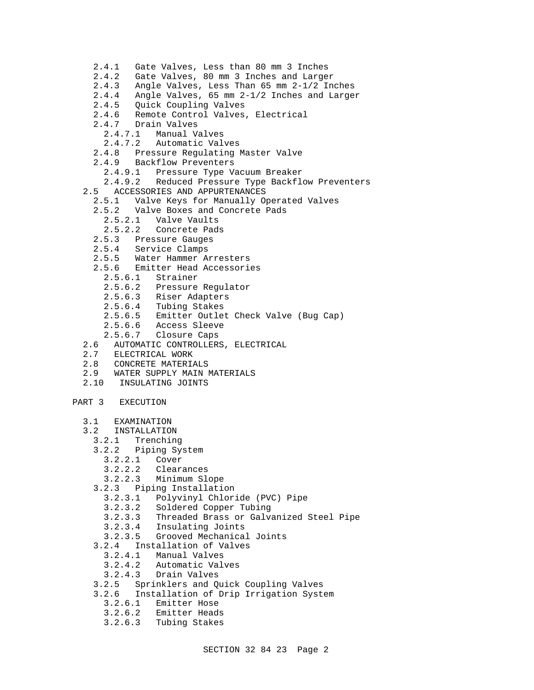- 2.4.1 Gate Valves, Less than 80 mm 3 Inches
- 2.4.2 Gate Valves, 80 mm 3 Inches and Larger
- 2.4.3 Angle Valves, Less Than 65 mm 2-1/2 Inches
- 2.4.4 Angle Valves, 65 mm 2-1/2 Inches and Larger
- 2.4.5 Quick Coupling Valves
- 2.4.6 Remote Control Valves, Electrical
- 2.4.0 Remote Contre<br>2.4.7 Drain Valves
	- 2.4.7.1 Manual Valves
	- 2.4.7.2 Automatic Valves
- 2.4.8 Pressure Regulating Master Valve
- 2.4.9 Backflow Preventers
	- 2.4.9.1 Pressure Type Vacuum Breaker
	- 2.4.9.2 Reduced Pressure Type Backflow Preventers
- 2.5 ACCESSORIES AND APPURTENANCES
	- 2.5.1 Valve Keys for Manually Operated Valves
	- 2.5.2 Valve Boxes and Concrete Pads
		- 2.5.2.1 Valve Vaults
		- 2.5.2.2 Concrete Pads
	- 2.5.3 Pressure Gauges
	- 2.5.4 Service Clamps
	- 2.5.5 Water Hammer Arresters
	- 2.5.6 Emitter Head Accessories
		- 2.5.6.1 Strainer
		- 2.5.6.2 Pressure Regulator
		- 2.5.6.3 Riser Adapters
		- 2.5.6.4 Tubing Stakes
		- 2.5.6.5 Emitter Outlet Check Valve (Bug Cap)
		- 2.5.6.6 Access Sleeve
		- 2.5.6.7 Closure Caps
- 2.6 AUTOMATIC CONTROLLERS, ELECTRICAL
- 2.7 ELECTRICAL WORK
- 2.8 CONCRETE MATERIALS
- 2.9 WATER SUPPLY MAIN MATERIALS
- 2.10 INSULATING JOINTS

### PART 3 EXECUTION

- 3.1 EXAMINATION
- 3.2 INSTALLATION
- 3.2.1 Trenching
- 3.2.2 Piping System
	- 3.2.2.1 Cover
		- 3.2.2.2 Clearances
	- 3.2.2.3 Minimum Slope
- 3.2.3 Piping Installation
	- 3.2.3.1 Polyvinyl Chloride (PVC) Pipe
	- 3.2.3.2 Soldered Copper Tubing
	- 3.2.3.3 Threaded Brass or Galvanized Steel Pipe
	- 3.2.3.4 Insulating Joints
	- 3.2.3.5 Grooved Mechanical Joints
- 3.2.4 Installation of Valves
- 3.2.4.1 Manual Valves
	- 3.2.4.2 Automatic Valves
	- 3.2.4.3 Drain Valves
- 3.2.5 Sprinklers and Quick Coupling Valves
- 3.2.6 Installation of Drip Irrigation System
	- 3.2.6.1 Emitter Hose<br>3.2.6.2 Emitter Head:
	- 3.2.6.2 Emitter Heads
	- 3.2.6.3 Tubing Stakes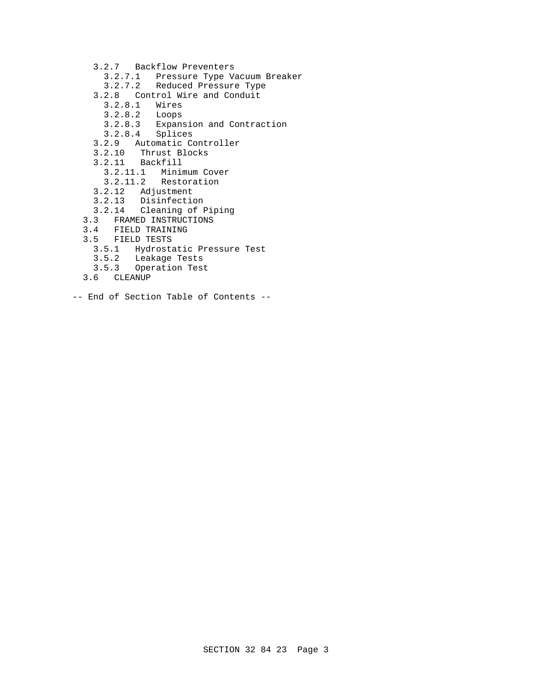- 3.2.7 Backflow Preventers
	- 3.2.7.1 Pressure Type Vacuum Breaker
- 3.2.7.2 Reduced Pressure Type
- 3.2.8 Control Wire and Conduit
	- 3.2.8.1 Wires
	- $3.2.8.2$
	- 3.2.8.3 Expansion and Contraction
	- 3.2.8.4 Splices
- 3.2.9 Automatic Controller
- 3.2.10 Thrust Blocks
- 3.2.11 Backfill
	- 3.2.11.1 Minimum Cover
	- 3.2.11.2 Restoration
- 3.2.12 Adjustment
- 3.2.13 Disinfection
- 3.2.14 Cleaning of Piping
- 3.3 FRAMED INSTRUCTIONS
- 3.4 FIELD TRAINING
- 3.5 FIELD TESTS
	- 3.5.1 Hydrostatic Pressure Test
	- 3.5.2 Leakage Tests
	- 3.5.3 Operation Test
	- 3.6 CLEANUP
- -- End of Section Table of Contents --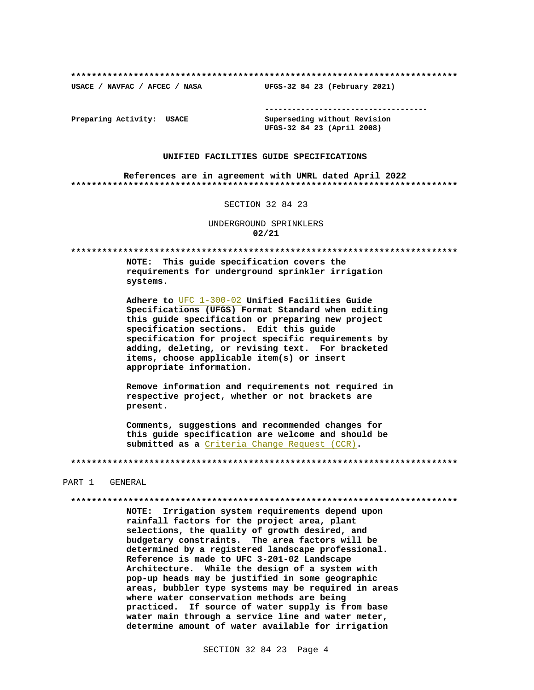USACE / NAVFAC / AFCEC / NASA

-------------------------------------

Preparing Activity: USACE

Superseding without Revision UFGS-32 84 23 (April 2008)

UFGS-32 84 23 (February 2021)

#### UNIFIED FACILITIES GUIDE SPECIFICATIONS

References are in agreement with UMRL dated April 2022 

#### SECTION 32 84 23

UNDERGROUND SPRINKLERS  $02/21$ 

NOTE: This guide specification covers the requirements for underground sprinkler irrigation systems.

Adhere to UFC 1-300-02 Unified Facilities Guide Specifications (UFGS) Format Standard when editing this quide specification or preparing new project specification sections. Edit this guide specification for project specific requirements by adding, deleting, or revising text. For bracketed items, choose applicable item(s) or insert appropriate information.

Remove information and requirements not required in respective project, whether or not brackets are present.

Comments, suggestions and recommended changes for this quide specification are welcome and should be submitted as a Criteria Change Request (CCR).

#### PART 1 GENERAL

#### 

NOTE: Irrigation system requirements depend upon rainfall factors for the project area, plant selections, the quality of growth desired, and budgetary constraints. The area factors will be determined by a registered landscape professional. Reference is made to UFC 3-201-02 Landscape Architecture. While the design of a system with pop-up heads may be justified in some geographic areas, bubbler type systems may be required in areas where water conservation methods are being practiced. If source of water supply is from base water main through a service line and water meter, determine amount of water available for irrigation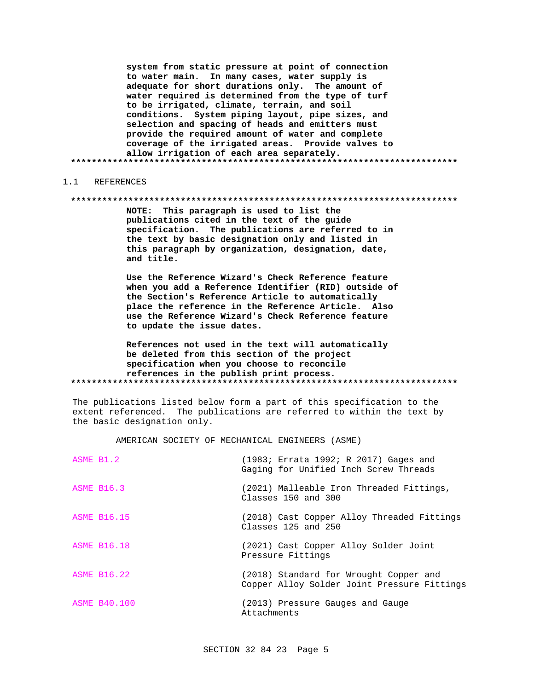system from static pressure at point of connection to water main. In many cases, water supply is adequate for short durations only. The amount of water required is determined from the type of turf to be irrigated, climate, terrain, and soil conditions. System piping layout, pipe sizes, and selection and spacing of heads and emitters must provide the required amount of water and complete coverage of the irrigated areas. Provide valves to allow irrigation of each area separately. 

#### REFERENCES  $1 \quad 1$

#### 

NOTE: This paragraph is used to list the publications cited in the text of the guide specification. The publications are referred to in the text by basic designation only and listed in this paragraph by organization, designation, date, and title.

Use the Reference Wizard's Check Reference feature when you add a Reference Identifier (RID) outside of the Section's Reference Article to automatically place the reference in the Reference Article. Also use the Reference Wizard's Check Reference feature to update the issue dates.

References not used in the text will automatically be deleted from this section of the project specification when you choose to reconcile references in the publish print process. 

The publications listed below form a part of this specification to the extent referenced. The publications are referred to within the text by the basic designation only.

AMERICAN SOCIETY OF MECHANICAL ENGINEERS (ASME)

| ASME B1.2           | (1983; Errata 1992; R 2017) Gages and<br>Gaging for Unified Inch Screw Threads        |
|---------------------|---------------------------------------------------------------------------------------|
| <b>ASME B16.3</b>   | (2021) Malleable Iron Threaded Fittings,<br>Classes 150 and 300                       |
| <b>ASME B16.15</b>  | (2018) Cast Copper Alloy Threaded Fittings<br>Classes $125$ and $250$                 |
| <b>ASME B16.18</b>  | (2021) Cast Copper Alloy Solder Joint<br>Pressure Fittings                            |
| <b>ASME B16.22</b>  | (2018) Standard for Wrought Copper and<br>Copper Alloy Solder Joint Pressure Fittings |
| <b>ASME B40.100</b> | (2013) Pressure Gauges and Gauge<br>Attachments                                       |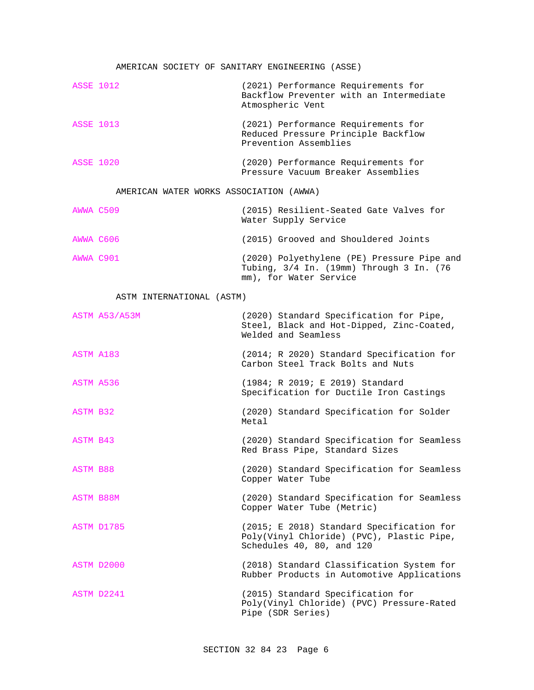#### AMERICAN SOCIETY OF SANITARY ENGINEERING (ASSE)

| <b>ASSE 1012</b>                        |               | (2021) Performance Requirements for<br>Backflow Preventer with an Intermediate<br>Atmospheric Vent               |  |
|-----------------------------------------|---------------|------------------------------------------------------------------------------------------------------------------|--|
| <b>ASSE 1013</b>                        |               | (2021) Performance Requirements for<br>Reduced Pressure Principle Backflow<br>Prevention Assemblies              |  |
| <b>ASSE 1020</b>                        |               | (2020) Performance Requirements for<br>Pressure Vacuum Breaker Assemblies                                        |  |
| AMERICAN WATER WORKS ASSOCIATION (AWWA) |               |                                                                                                                  |  |
| AWWA C509                               |               | (2015) Resilient-Seated Gate Valves for<br>Water Supply Service                                                  |  |
| AWWA C606                               |               | (2015) Grooved and Shouldered Joints                                                                             |  |
| AWWA C901                               |               | (2020) Polyethylene (PE) Pressure Pipe and<br>Tubing, 3/4 In. (19mm) Through 3 In. (76<br>mm), for Water Service |  |
| ASTM INTERNATIONAL (ASTM)               |               |                                                                                                                  |  |
|                                         | ASTM A53/A53M | (2020) Standard Specification for Pipe,<br>Steel, Black and Hot-Dipped, Zinc-Coated,<br>Welded and Seamless      |  |
| ASTM A183                               |               | (2014; R 2020) Standard Specification for<br>Carbon Steel Track Bolts and Nuts                                   |  |
| ASTM A536                               |               | (1984; R 2019; E 2019) Standard<br>Specification for Ductile Iron Castings                                       |  |
| ASTM B32                                |               | (2020) Standard Specification for Solder                                                                         |  |

ASTM A183 (2014; R 2020) Standard Specification for ASTM B32 **Example 2020** (2020) Standard Specification for Solder Metal ASTM B43 (2020) Standard Specification for Seamless Red Brass Pipe, Standard Sizes ASTM B88 (2020) Standard Specification for Seamless Copper Water Tube ASTM B88M (2020) Standard Specification for Seamless Copper Water Tube (Metric) ASTM D1785 (2015; E 2018) Standard Specification for Poly(Vinyl Chloride) (PVC), Plastic Pipe, Schedules 40, 80, and 120 ASTM D2000 (2018) Standard Classification System for Rubber Products in Automotive Applications ASTM D2241 (2015) Standard Specification for Poly(Vinyl Chloride) (PVC) Pressure-Rated

Pipe (SDR Series)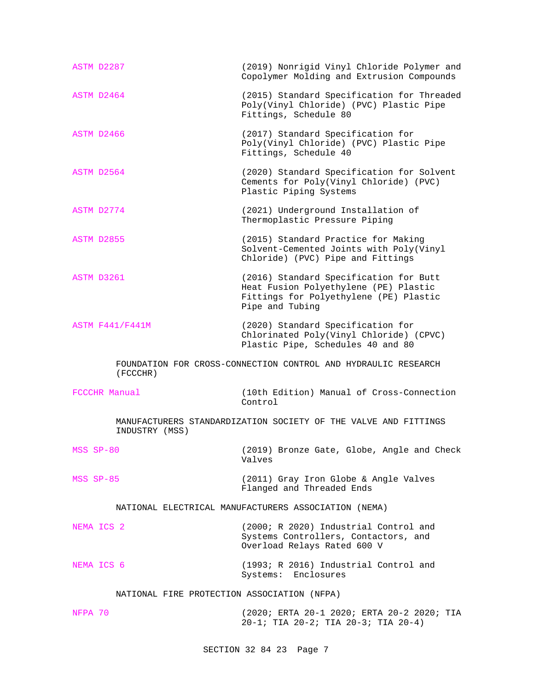| ASTM D2287                                                                        | (2019) Nonrigid Vinyl Chloride Polymer and<br>Copolymer Molding and Extrusion Compounds                                                      |  |  |  |
|-----------------------------------------------------------------------------------|----------------------------------------------------------------------------------------------------------------------------------------------|--|--|--|
| ASTM D2464                                                                        | (2015) Standard Specification for Threaded<br>Poly(Vinyl Chloride) (PVC) Plastic Pipe<br>Fittings, Schedule 80                               |  |  |  |
| ASTM D2466                                                                        | (2017) Standard Specification for<br>Poly(Vinyl Chloride) (PVC) Plastic Pipe<br>Fittings, Schedule 40                                        |  |  |  |
| ASTM D2564                                                                        | (2020) Standard Specification for Solvent<br>Cements for Poly(Vinyl Chloride) (PVC)<br>Plastic Piping Systems                                |  |  |  |
| ASTM D2774                                                                        | (2021) Underground Installation of<br>Thermoplastic Pressure Piping                                                                          |  |  |  |
| ASTM D2855                                                                        | (2015) Standard Practice for Making<br>Solvent-Cemented Joints with Poly(Vinyl<br>Chloride) (PVC) Pipe and Fittings                          |  |  |  |
| ASTM D3261                                                                        | (2016) Standard Specification for Butt<br>Heat Fusion Polyethylene (PE) Plastic<br>Fittings for Polyethylene (PE) Plastic<br>Pipe and Tubing |  |  |  |
| <b>ASTM F441/F441M</b>                                                            | (2020) Standard Specification for<br>Chlorinated Poly(Vinyl Chloride) (CPVC)<br>Plastic Pipe, Schedules 40 and 80                            |  |  |  |
| FOUNDATION FOR CROSS-CONNECTION CONTROL AND HYDRAULIC RESEARCH<br>(FCCCHR)        |                                                                                                                                              |  |  |  |
| FCCCHR Manual                                                                     | (10th Edition) Manual of Cross-Connection<br>Control                                                                                         |  |  |  |
| MANUFACTURERS STANDARDIZATION SOCIETY OF THE VALVE AND FITTINGS<br>INDUSTRY (MSS) |                                                                                                                                              |  |  |  |
| MSS SP-80                                                                         | (2019) Bronze Gate, Globe, Angle and Check<br>Valves                                                                                         |  |  |  |
| MSS SP-85                                                                         | (2011) Gray Iron Globe & Angle Valves<br>Flanged and Threaded Ends                                                                           |  |  |  |
| NATIONAL ELECTRICAL MANUFACTURERS ASSOCIATION (NEMA)                              |                                                                                                                                              |  |  |  |
| NEMA ICS 2                                                                        | (2000; R 2020) Industrial Control and<br>Systems Controllers, Contactors, and<br>Overload Relays Rated 600 V                                 |  |  |  |
| NEMA ICS 6                                                                        | (1993; R 2016) Industrial Control and<br>Systems: Enclosures                                                                                 |  |  |  |
| NATIONAL FIRE PROTECTION ASSOCIATION (NFPA)                                       |                                                                                                                                              |  |  |  |
| NFPA 70                                                                           | (2020; ERTA 20-1 2020; ERTA 20-2 2020; TIA<br>$20-1;$ TIA $20-2;$ TIA $20-3;$ TIA $20-4)$                                                    |  |  |  |

SECTION 32 84 23 Page 7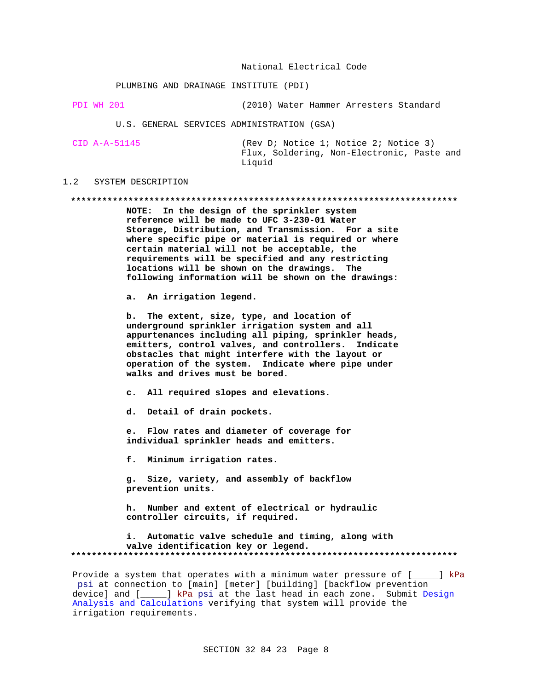#### National Electrical Code

#### PLUMBING AND DRAINAGE INSTITUTE (PDI)

PDI WH 201 (2010) Water Hammer Arresters Standard

U.S. GENERAL SERVICES ADMINISTRATION (GSA)

| CID A-A-51145 | (Rev D; Notice 1; Notice 2; Notice 3)      |
|---------------|--------------------------------------------|
|               | Flux, Soldering, Non-Electronic, Paste and |
|               | Liquid                                     |

#### $1.2$ SYSTEM DESCRIPTION

#### 

NOTE: In the design of the sprinkler system reference will be made to UFC 3-230-01 Water Storage, Distribution, and Transmission. For a site where specific pipe or material is required or where certain material will not be acceptable, the requirements will be specified and any restricting locations will be shown on the drawings. The following information will be shown on the drawings:

a. An irrigation legend.

b. The extent, size, type, and location of underground sprinkler irrigation system and all appurtenances including all piping, sprinkler heads, emitters, control valves, and controllers. Indicate obstacles that might interfere with the layout or operation of the system. Indicate where pipe under walks and drives must be bored.

c. All required slopes and elevations.

d. Detail of drain pockets.

e. Flow rates and diameter of coverage for individual sprinkler heads and emitters.

f. Minimum irrigation rates.

g. Size, variety, and assembly of backflow prevention units.

h. Number and extent of electrical or hydraulic controller circuits, if required.

i. Automatic valve schedule and timing, along with valve identification key or legend. 

Provide a system that operates with a minimum water pressure of [\_\_\_\_] kPa psi at connection to [main] [meter] [building] [backflow prevention device] and [\_\_\_\_] kPa psi at the last head in each zone. Submit Design Analysis and Calculations verifying that system will provide the irrigation requirements.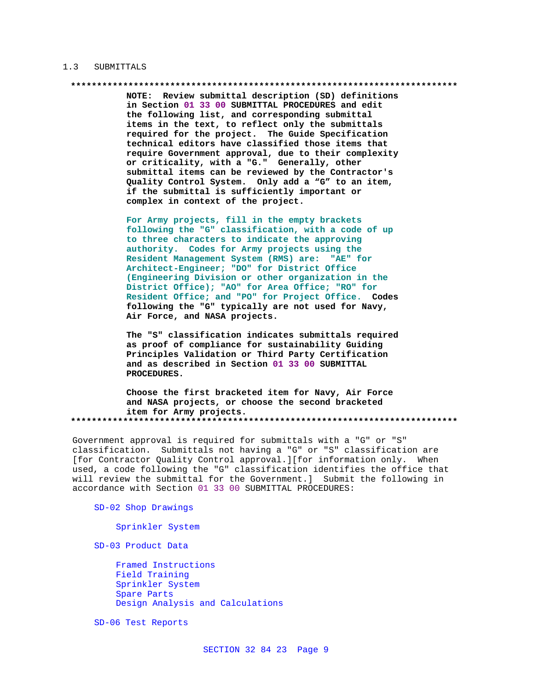#### 1.3 SUBMITTALS

NOTE: Review submittal description (SD) definitions in Section 01 33 00 SUBMITTAL PROCEDURES and edit the following list, and corresponding submittal items in the text, to reflect only the submittals required for the project. The Guide Specification technical editors have classified those items that require Government approval, due to their complexity or criticality, with a "G." Generally, other submittal items can be reviewed by the Contractor's Quality Control System. Only add a "G" to an item, if the submittal is sufficiently important or complex in context of the project.

For Army projects, fill in the empty brackets following the "G" classification, with a code of up to three characters to indicate the approving authority. Codes for Army projects using the Resident Management System (RMS) are: "AE" for Architect-Engineer; "DO" for District Office (Engineering Division or other organization in the District Office); "AO" for Area Office; "RO" for Resident Office; and "PO" for Project Office. Codes following the "G" typically are not used for Navy, Air Force, and NASA projects.

The "S" classification indicates submittals required as proof of compliance for sustainability Guiding Principles Validation or Third Party Certification and as described in Section 01 33 00 SUBMITTAL PROCEDURES.

Choose the first bracketed item for Navy, Air Force and NASA projects, or choose the second bracketed item for Army projects. 

Government approval is required for submittals with a "G" or "S" classification. Submittals not having a "G" or "S" classification are [for Contractor Quality Control approval.][for information only. When used, a code following the "G" classification identifies the office that will review the submittal for the Government.] Submit the following in accordance with Section 01 33 00 SUBMITTAL PROCEDURES:

#### SD-02 Shop Drawings

Sprinkler System

SD-03 Product Data

Framed Instructions Field Training Sprinkler System Spare Parts Design Analysis and Calculations

SD-06 Test Reports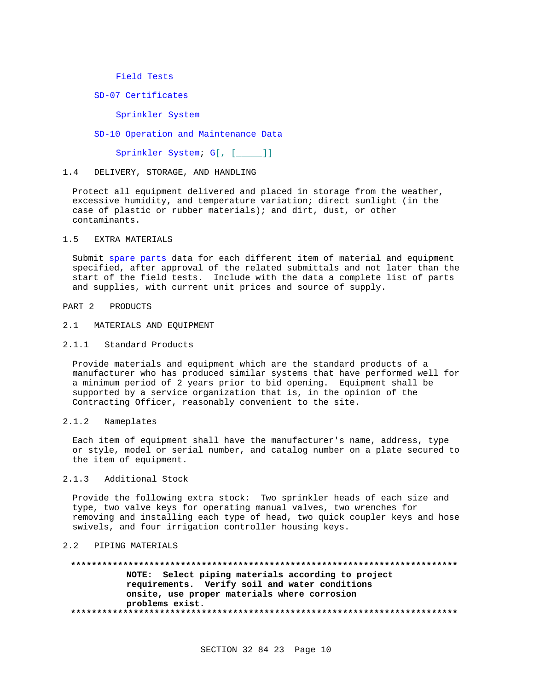Field Tests

SD-07 Certificates

Sprinkler System

SD-10 Operation and Maintenance Data

Sprinkler System; G[, [\_\_\_\_\_]]

#### 1.4 DELIVERY, STORAGE, AND HANDLING

Protect all equipment delivered and placed in storage from the weather, excessive humidity, and temperature variation; direct sunlight (in the case of plastic or rubber materials); and dirt, dust, or other contaminants.

#### 1.5 EXTRA MATERIALS

Submit spare parts data for each different item of material and equipment specified, after approval of the related submittals and not later than the start of the field tests. Include with the data a complete list of parts and supplies, with current unit prices and source of supply.

#### PART 2 PRODUCTS

#### 2.1 MATERIALS AND EQUIPMENT

#### 2.1.1 Standard Products

Provide materials and equipment which are the standard products of a manufacturer who has produced similar systems that have performed well for a minimum period of 2 years prior to bid opening. Equipment shall be supported by a service organization that is, in the opinion of the Contracting Officer, reasonably convenient to the site.

#### 2.1.2 Nameplates

Each item of equipment shall have the manufacturer's name, address, type or style, model or serial number, and catalog number on a plate secured to the item of equipment.

### 2.1.3 Additional Stock

Provide the following extra stock: Two sprinkler heads of each size and type, two valve keys for operating manual valves, two wrenches for removing and installing each type of head, two quick coupler keys and hose swivels, and four irrigation controller housing keys.

### 2.2 PIPING MATERIALS

**\*\*\*\*\*\*\*\*\*\*\*\*\*\*\*\*\*\*\*\*\*\*\*\*\*\*\*\*\*\*\*\*\*\*\*\*\*\*\*\*\*\*\*\*\*\*\*\*\*\*\*\*\*\*\*\*\*\*\*\*\*\*\*\*\*\*\*\*\*\*\*\*\*\* NOTE: Select piping materials according to project requirements. Verify soil and water conditions onsite, use proper materials where corrosion problems exist. \*\*\*\*\*\*\*\*\*\*\*\*\*\*\*\*\*\*\*\*\*\*\*\*\*\*\*\*\*\*\*\*\*\*\*\*\*\*\*\*\*\*\*\*\*\*\*\*\*\*\*\*\*\*\*\*\*\*\*\*\*\*\*\*\*\*\*\*\*\*\*\*\*\***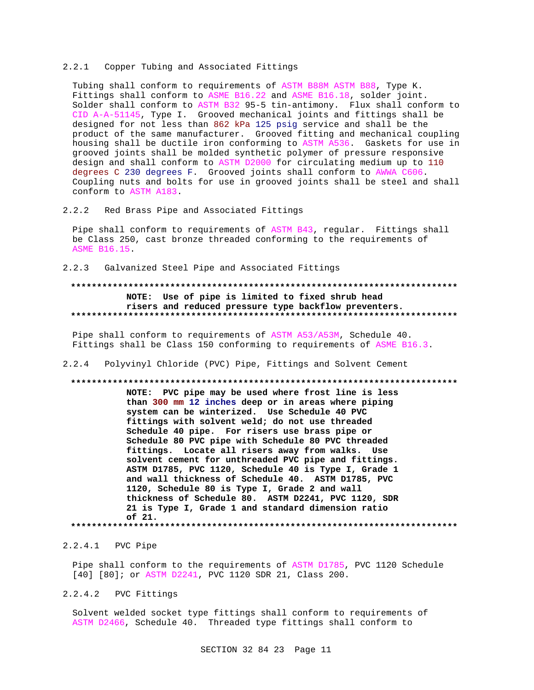#### 2.2.1 Copper Tubing and Associated Fittings

Tubing shall conform to requirements of ASTM B88M ASTM B88, Type K. Fittings shall conform to ASME B16.22 and ASME B16.18, solder joint. Solder shall conform to ASTM B32 95-5 tin-antimony. Flux shall conform to CID A-A-51145, Type I. Grooved mechanical joints and fittings shall be designed for not less than 862 kPa 125 psig service and shall be the product of the same manufacturer. Grooved fitting and mechanical coupling housing shall be ductile iron conforming to ASTM A536. Gaskets for use in grooved joints shall be molded synthetic polymer of pressure responsive design and shall conform to ASTM D2000 for circulating medium up to 110 degrees C 230 degrees F. Grooved joints shall conform to AWWA C606. Coupling nuts and bolts for use in grooved joints shall be steel and shall conform to ASTM A183.

2.2.2 Red Brass Pipe and Associated Fittings

Pipe shall conform to requirements of ASTM B43, regular. Fittings shall be Class 250, cast bronze threaded conforming to the requirements of ASME B16.15.

2.2.3 Galvanized Steel Pipe and Associated Fittings

# **\*\*\*\*\*\*\*\*\*\*\*\*\*\*\*\*\*\*\*\*\*\*\*\*\*\*\*\*\*\*\*\*\*\*\*\*\*\*\*\*\*\*\*\*\*\*\*\*\*\*\*\*\*\*\*\*\*\*\*\*\*\*\*\*\*\*\*\*\*\*\*\*\*\* NOTE: Use of pipe is limited to fixed shrub head risers and reduced pressure type backflow preventers. \*\*\*\*\*\*\*\*\*\*\*\*\*\*\*\*\*\*\*\*\*\*\*\*\*\*\*\*\*\*\*\*\*\*\*\*\*\*\*\*\*\*\*\*\*\*\*\*\*\*\*\*\*\*\*\*\*\*\*\*\*\*\*\*\*\*\*\*\*\*\*\*\*\***

Pipe shall conform to requirements of ASTM A53/A53M, Schedule 40. Fittings shall be Class 150 conforming to requirements of ASME B16.3.

2.2.4 Polyvinyl Chloride (PVC) Pipe, Fittings and Solvent Cement

#### **\*\*\*\*\*\*\*\*\*\*\*\*\*\*\*\*\*\*\*\*\*\*\*\*\*\*\*\*\*\*\*\*\*\*\*\*\*\*\*\*\*\*\*\*\*\*\*\*\*\*\*\*\*\*\*\*\*\*\*\*\*\*\*\*\*\*\*\*\*\*\*\*\*\***

**NOTE: PVC pipe may be used where frost line is less than 300 mm 12 inches deep or in areas where piping system can be winterized. Use Schedule 40 PVC fittings with solvent weld; do not use threaded Schedule 40 pipe. For risers use brass pipe or Schedule 80 PVC pipe with Schedule 80 PVC threaded fittings. Locate all risers away from walks. Use solvent cement for unthreaded PVC pipe and fittings. ASTM D1785, PVC 1120, Schedule 40 is Type I, Grade 1 and wall thickness of Schedule 40. ASTM D1785, PVC 1120, Schedule 80 is Type I, Grade 2 and wall thickness of Schedule 80. ASTM D2241, PVC 1120, SDR 21 is Type I, Grade 1 and standard dimension ratio of 21. \*\*\*\*\*\*\*\*\*\*\*\*\*\*\*\*\*\*\*\*\*\*\*\*\*\*\*\*\*\*\*\*\*\*\*\*\*\*\*\*\*\*\*\*\*\*\*\*\*\*\*\*\*\*\*\*\*\*\*\*\*\*\*\*\*\*\*\*\*\*\*\*\*\***

2.2.4.1 PVC Pipe

Pipe shall conform to the requirements of ASTM D1785, PVC 1120 Schedule [40] [80]; or ASTM D2241, PVC 1120 SDR 21, Class 200.

2.2.4.2 PVC Fittings

Solvent welded socket type fittings shall conform to requirements of ASTM D2466, Schedule 40. Threaded type fittings shall conform to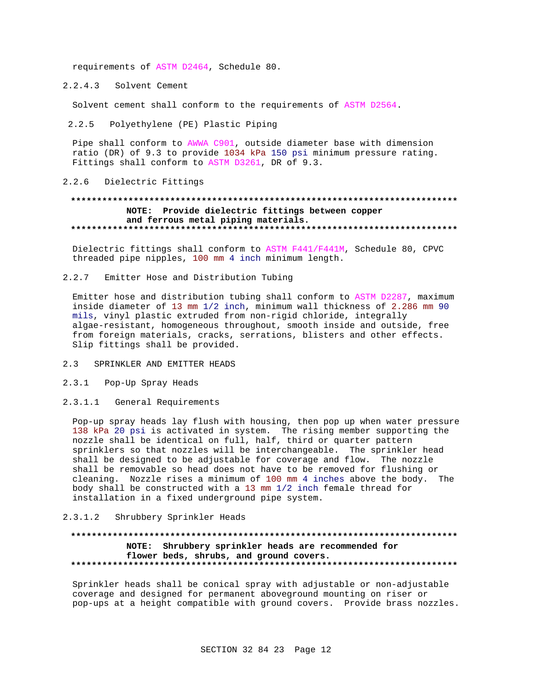requirements of ASTM D2464, Schedule 80.

2.2.4.3 Solvent Cement

Solvent cement shall conform to the requirements of ASTM D2564.

2.2.5 Polyethylene (PE) Plastic Piping

Pipe shall conform to AWWA C901, outside diameter base with dimension ratio (DR) of 9.3 to provide 1034 kPa 150 psi minimum pressure rating. Fittings shall conform to ASTM D3261, DR of 9.3.

2.2.6 Dielectric Fittings

### **\*\*\*\*\*\*\*\*\*\*\*\*\*\*\*\*\*\*\*\*\*\*\*\*\*\*\*\*\*\*\*\*\*\*\*\*\*\*\*\*\*\*\*\*\*\*\*\*\*\*\*\*\*\*\*\*\*\*\*\*\*\*\*\*\*\*\*\*\*\*\*\*\*\* NOTE: Provide dielectric fittings between copper and ferrous metal piping materials. \*\*\*\*\*\*\*\*\*\*\*\*\*\*\*\*\*\*\*\*\*\*\*\*\*\*\*\*\*\*\*\*\*\*\*\*\*\*\*\*\*\*\*\*\*\*\*\*\*\*\*\*\*\*\*\*\*\*\*\*\*\*\*\*\*\*\*\*\*\*\*\*\*\***

Dielectric fittings shall conform to ASTM F441/F441M, Schedule 80, CPVC threaded pipe nipples, 100 mm 4 inch minimum length.

2.2.7 Emitter Hose and Distribution Tubing

Emitter hose and distribution tubing shall conform to ASTM D2287, maximum inside diameter of 13 mm 1/2 inch, minimum wall thickness of 2.286 mm 90 mils, vinyl plastic extruded from non-rigid chloride, integrally algae-resistant, homogeneous throughout, smooth inside and outside, free from foreign materials, cracks, serrations, blisters and other effects. Slip fittings shall be provided.

- 2.3 SPRINKLER AND EMITTER HEADS
- 2.3.1 Pop-Up Spray Heads
- 2.3.1.1 General Requirements

Pop-up spray heads lay flush with housing, then pop up when water pressure 138 kPa 20 psi is activated in system. The rising member supporting the nozzle shall be identical on full, half, third or quarter pattern sprinklers so that nozzles will be interchangeable. The sprinkler head shall be designed to be adjustable for coverage and flow. The nozzle shall be removable so head does not have to be removed for flushing or cleaning. Nozzle rises a minimum of 100 mm 4 inches above the body. The body shall be constructed with a 13 mm 1/2 inch female thread for installation in a fixed underground pipe system.

### 2.3.1.2 Shrubbery Sprinkler Heads

# **\*\*\*\*\*\*\*\*\*\*\*\*\*\*\*\*\*\*\*\*\*\*\*\*\*\*\*\*\*\*\*\*\*\*\*\*\*\*\*\*\*\*\*\*\*\*\*\*\*\*\*\*\*\*\*\*\*\*\*\*\*\*\*\*\*\*\*\*\*\*\*\*\*\* NOTE: Shrubbery sprinkler heads are recommended for flower beds, shrubs, and ground covers. \*\*\*\*\*\*\*\*\*\*\*\*\*\*\*\*\*\*\*\*\*\*\*\*\*\*\*\*\*\*\*\*\*\*\*\*\*\*\*\*\*\*\*\*\*\*\*\*\*\*\*\*\*\*\*\*\*\*\*\*\*\*\*\*\*\*\*\*\*\*\*\*\*\***

Sprinkler heads shall be conical spray with adjustable or non-adjustable coverage and designed for permanent aboveground mounting on riser or pop-ups at a height compatible with ground covers. Provide brass nozzles.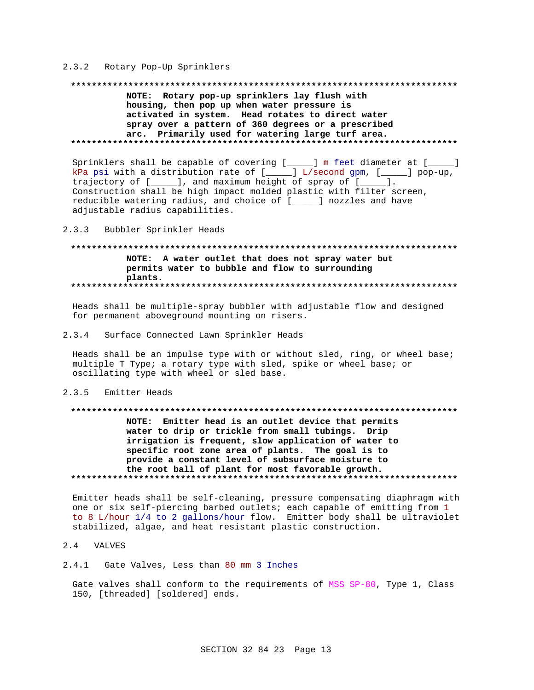#### 2.3.2 Rotary Pop-Up Sprinklers

#### 

NOTE: Rotary pop-up sprinklers lay flush with housing, then pop up when water pressure is activated in system. Head rotates to direct water spray over a pattern of 360 degrees or a prescribed arc. Primarily used for watering large turf area. 

Sprinklers shall be capable of covering [\_\_\_\_\_] m feet diameter at [\_\_  $\Box$ kPa psi with a distribution rate of  $[\_\_\_\]$  L/second gpm,  $[\_\_\_\]$  pop-up, trajectory of  $[\_\_\_\]$ , and maximum height of spray of  $[\_\_\_\]$ . Construction shall be high impact molded plastic with filter screen, reducible watering radius, and choice of [\_\_\_\_\_] nozzles and have adjustable radius capabilities.

#### $2.3.3$ Bubbler Sprinkler Heads

#### NOTE: A water outlet that does not spray water but permits water to bubble and flow to surrounding plants.

Heads shall be multiple-spray bubbler with adjustable flow and designed for permanent aboveground mounting on risers.

#### $2.3.4$ Surface Connected Lawn Sprinkler Heads

Heads shall be an impulse type with or without sled, ring, or wheel base; multiple T Type; a rotary type with sled, spike or wheel base; or oscillating type with wheel or sled base.

#### 2.3.5 Emitter Heads

# NOTE: Emitter head is an outlet device that permits water to drip or trickle from small tubings. Drip irrigation is frequent, slow application of water to specific root zone area of plants. The goal is to provide a constant level of subsurface moisture to the root ball of plant for most favorable growth.

Emitter heads shall be self-cleaning, pressure compensating diaphragm with one or six self-piercing barbed outlets; each capable of emitting from 1 to 8 L/hour 1/4 to 2 gallons/hour flow. Emitter body shall be ultraviolet stabilized, algae, and heat resistant plastic construction.

#### 2.4 VALVES

# 2.4.1 Gate Valves, Less than 80 mm 3 Inches

Gate valves shall conform to the requirements of MSS SP-80, Type 1, Class 150, [threaded] [soldered] ends.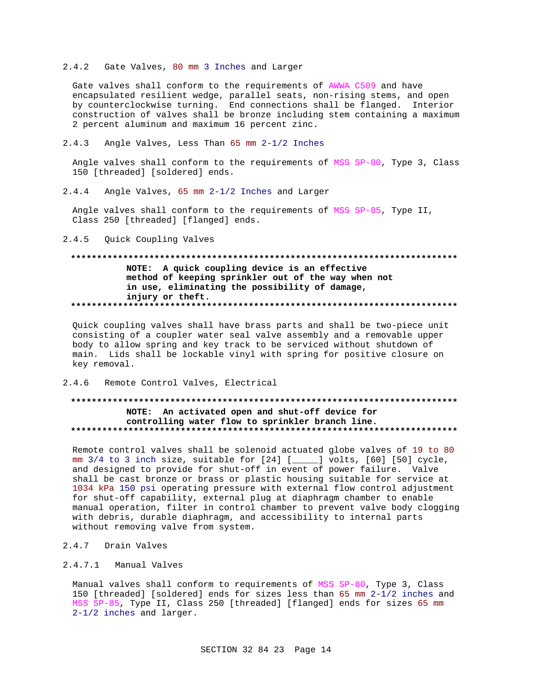#### $2, 4, 2$ Gate Valves, 80 mm 3 Inches and Larger

Gate valves shall conform to the requirements of AWWA C509 and have encapsulated resilient wedge, parallel seats, non-rising stems, and open by counterclockwise turning. End connections shall be flanged. Interior construction of valves shall be bronze including stem containing a maximum 2 percent aluminum and maximum 16 percent zinc.

 $2.4.3$ Angle Valves, Less Than 65 mm 2-1/2 Inches

Angle valves shall conform to the requirements of MSS SP-80, Type 3, Class 150 [threaded] [soldered] ends.

 $2.4.4$ Angle Valves, 65 mm 2-1/2 Inches and Larger

Angle valves shall conform to the requirements of MSS SP-85, Type II, Class 250 [threaded] [flanged] ends.

 $2.4.5$ Ouick Coupling Valves

# NOTE: A quick coupling device is an effective method of keeping sprinkler out of the way when not in use, eliminating the possibility of damage, injury or theft.

Quick coupling valves shall have brass parts and shall be two-piece unit consisting of a coupler water seal valve assembly and a removable upper body to allow spring and key track to be serviced without shutdown of main. Lids shall be lockable vinyl with spring for positive closure on key removal.

#### $2.4.6$ Remote Control Valves, Electrical

# NOTE: An activated open and shut-off device for controlling water flow to sprinkler branch line.

Remote control valves shall be solenoid actuated globe valves of 19 to 80 mm 3/4 to 3 inch size, suitable for [24] [\_\_\_\_] volts, [60] [50] cycle, and designed to provide for shut-off in event of power failure. Valve shall be cast bronze or brass or plastic housing suitable for service at 1034 kPa 150 psi operating pressure with external flow control adjustment for shut-off capability, external plug at diaphragm chamber to enable manual operation, filter in control chamber to prevent valve body clogging with debris, durable diaphragm, and accessibility to internal parts without removing valve from system.

- 2.4.7 Drain Valves
- $2.4.7.1$ Manual Valves

Manual valves shall conform to requirements of MSS SP-80, Type 3, Class 150 [threaded] [soldered] ends for sizes less than 65 mm 2-1/2 inches and MSS SP-85, Type II, Class 250 [threaded] [flanged] ends for sizes 65 mm  $2-1/2$  inches and larger.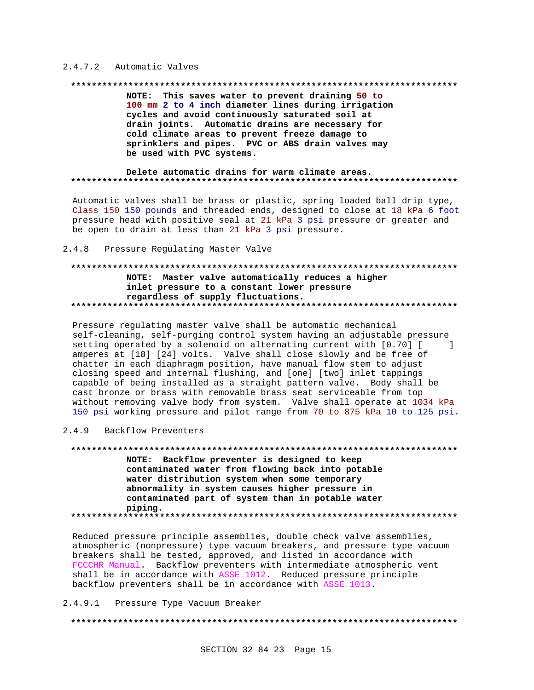#### 2.4.7.2 Automatic Valves

#### 

NOTE: This saves water to prevent draining 50 to 100 mm 2 to 4 inch diameter lines during irrigation cycles and avoid continuously saturated soil at drain joints. Automatic drains are necessary for cold climate areas to prevent freeze damage to sprinklers and pipes. PVC or ABS drain valves may be used with PVC systems.

#### Delete automatic drains for warm climate areas.

Automatic valves shall be brass or plastic, spring loaded ball drip type, Class 150 150 pounds and threaded ends, designed to close at 18 kPa 6 foot pressure head with positive seal at 21 kPa 3 psi pressure or greater and be open to drain at less than 21 kPa 3 psi pressure.

 $2.4.8$ Pressure Regulating Master Valve

### NOTE: Master valve automatically reduces a higher inlet pressure to a constant lower pressure regardless of supply fluctuations.

Pressure regulating master valve shall be automatic mechanical self-cleaning, self-purging control system having an adjustable pressure setting operated by a solenoid on alternating current with [0.70] [\_\_\_\_\_] amperes at [18] [24] volts. Valve shall close slowly and be free of chatter in each diaphragm position, have manual flow stem to adjust closing speed and internal flushing, and [one] [two] inlet tappings capable of being installed as a straight pattern valve. Body shall be cast bronze or brass with removable brass seat serviceable from top without removing valve body from system. Valve shall operate at 1034 kPa 150 psi working pressure and pilot range from 70 to 875 kPa 10 to 125 psi.

#### 2.4.9 Backflow Preventers

NOTE: Backflow preventer is designed to keep contaminated water from flowing back into potable water distribution system when some temporary abnormality in system causes higher pressure in contaminated part of system than in potable water piping. 

Reduced pressure principle assemblies, double check valve assemblies, atmospheric (nonpressure) type vacuum breakers, and pressure type vacuum breakers shall be tested, approved, and listed in accordance with FCCCHR Manual. Backflow preventers with intermediate atmospheric vent shall be in accordance with ASSE 1012. Reduced pressure principle backflow preventers shall be in accordance with ASSE 1013.

2.4.9.1 Pressure Type Vacuum Breaker

####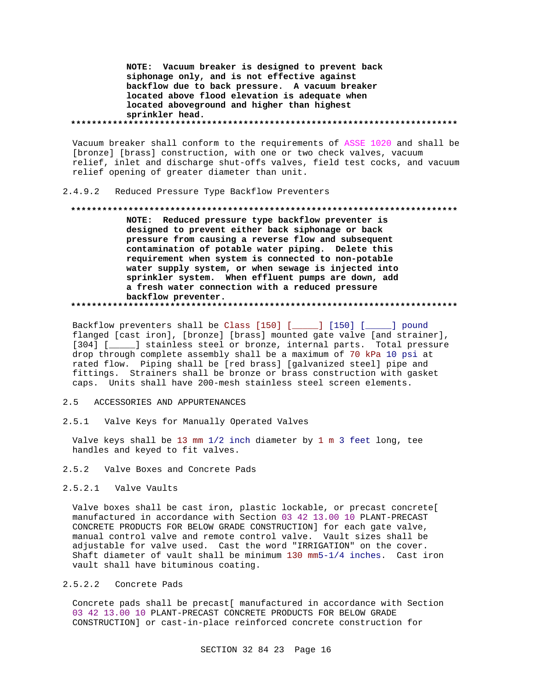NOTE: Vacuum breaker is designed to prevent back siphonage only, and is not effective against backflow due to back pressure. A vacuum breaker located above flood elevation is adequate when located aboveground and higher than highest sprinkler head. 

Vacuum breaker shall conform to the requirements of ASSE 1020 and shall be [bronze] [brass] construction, with one or two check valves, vacuum relief, inlet and discharge shut-offs valves, field test cocks, and vacuum relief opening of greater diameter than unit.

 $2.4.9.2$ Reduced Pressure Type Backflow Preventers

#### 

NOTE: Reduced pressure type backflow preventer is designed to prevent either back siphonage or back pressure from causing a reverse flow and subsequent contamination of potable water piping. Delete this requirement when system is connected to non-potable water supply system, or when sewage is injected into sprinkler system. When effluent pumps are down, add a fresh water connection with a reduced pressure backflow preventer. 

Backflow preventers shall be Class [150] [\_\_\_\_\_] [150] [\_\_\_\_\_] pound flanged [cast iron], [bronze] [brass] mounted gate valve [and strainer], [304] [\_\_\_\_\_] stainless steel or bronze, internal parts. Total pressure drop through complete assembly shall be a maximum of 70 kPa 10 psi at rated flow. Piping shall be [red brass] [galvanized steel] pipe and fittings. Strainers shall be bronze or brass construction with gasket caps. Units shall have 200-mesh stainless steel screen elements.

#### $2.5$ ACCESSORIES AND APPURTENANCES

 $2.5.1$ Valve Keys for Manually Operated Valves

Valve keys shall be 13 mm 1/2 inch diameter by 1 m 3 feet long, tee handles and keyed to fit valves.

 $2.5.2$ Valve Boxes and Concrete Pads

#### 2.5.2.1 Valve Vaults

Valve boxes shall be cast iron, plastic lockable, or precast concrete[ manufactured in accordance with Section 03 42 13.00 10 PLANT-PRECAST CONCRETE PRODUCTS FOR BELOW GRADE CONSTRUCTION] for each gate valve, manual control valve and remote control valve. Vault sizes shall be adjustable for valve used. Cast the word "IRRIGATION" on the cover. Shaft diameter of vault shall be minimum 130 mm5-1/4 inches. Cast iron vault shall have bituminous coating.

### 2.5.2.2 Concrete Pads

Concrete pads shall be precast[ manufactured in accordance with Section 03 42 13.00 10 PLANT-PRECAST CONCRETE PRODUCTS FOR BELOW GRADE CONSTRUCTION] or cast-in-place reinforced concrete construction for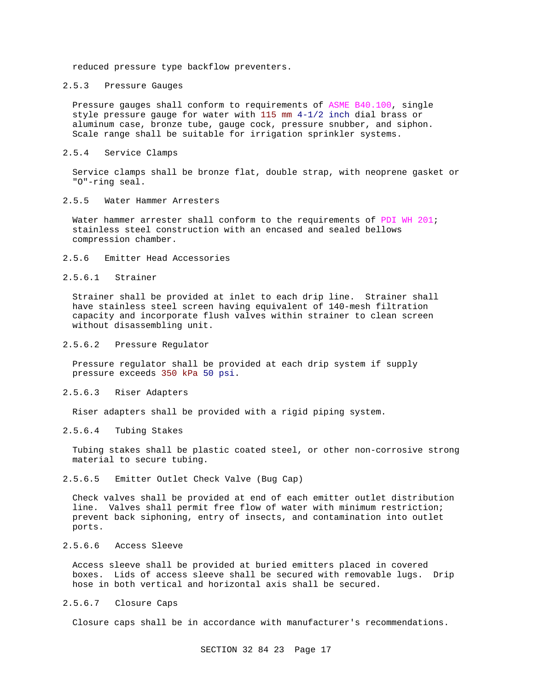reduced pressure type backflow preventers.

#### 2.5.3 Pressure Gauges

Pressure gauges shall conform to requirements of ASME B40.100, single style pressure gauge for water with 115 mm 4-1/2 inch dial brass or aluminum case, bronze tube, gauge cock, pressure snubber, and siphon. Scale range shall be suitable for irrigation sprinkler systems.

# 2.5.4 Service Clamps

Service clamps shall be bronze flat, double strap, with neoprene gasket or "O"-ring seal.

#### 2.5.5 Water Hammer Arresters

Water hammer arrester shall conform to the requirements of PDI WH 201; stainless steel construction with an encased and sealed bellows compression chamber.

#### 2.5.6 Emitter Head Accessories

#### 2.5.6.1 Strainer

Strainer shall be provided at inlet to each drip line. Strainer shall have stainless steel screen having equivalent of 140-mesh filtration capacity and incorporate flush valves within strainer to clean screen without disassembling unit.

#### 2.5.6.2 Pressure Regulator

Pressure regulator shall be provided at each drip system if supply pressure exceeds 350 kPa 50 psi.

#### 2.5.6.3 Riser Adapters

Riser adapters shall be provided with a rigid piping system.

### 2.5.6.4 Tubing Stakes

Tubing stakes shall be plastic coated steel, or other non-corrosive strong material to secure tubing.

#### 2.5.6.5 Emitter Outlet Check Valve (Bug Cap)

Check valves shall be provided at end of each emitter outlet distribution line. Valves shall permit free flow of water with minimum restriction; prevent back siphoning, entry of insects, and contamination into outlet ports.

# 2.5.6.6 Access Sleeve

Access sleeve shall be provided at buried emitters placed in covered boxes. Lids of access sleeve shall be secured with removable lugs. Drip hose in both vertical and horizontal axis shall be secured.

#### 2.5.6.7 Closure Caps

Closure caps shall be in accordance with manufacturer's recommendations.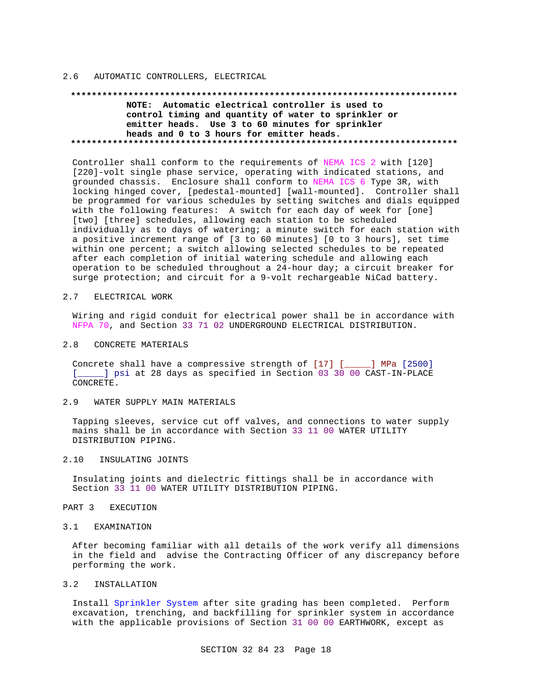#### 2.6 AUTOMATIC CONTROLLERS, ELECTRICAL

#### **\*\*\*\*\*\*\*\*\*\*\*\*\*\*\*\*\*\*\*\*\*\*\*\*\*\*\*\*\*\*\*\*\*\*\*\*\*\*\*\*\*\*\*\*\*\*\*\*\*\*\*\*\*\*\*\*\*\*\*\*\*\*\*\*\*\*\*\*\*\*\*\*\*\***

**NOTE: Automatic electrical controller is used to control timing and quantity of water to sprinkler or emitter heads. Use 3 to 60 minutes for sprinkler heads and 0 to 3 hours for emitter heads. \*\*\*\*\*\*\*\*\*\*\*\*\*\*\*\*\*\*\*\*\*\*\*\*\*\*\*\*\*\*\*\*\*\*\*\*\*\*\*\*\*\*\*\*\*\*\*\*\*\*\*\*\*\*\*\*\*\*\*\*\*\*\*\*\*\*\*\*\*\*\*\*\*\***

Controller shall conform to the requirements of NEMA ICS 2 with [120] [220]-volt single phase service, operating with indicated stations, and grounded chassis. Enclosure shall conform to NEMA ICS 6 Type 3R, with locking hinged cover, [pedestal-mounted] [wall-mounted]. Controller shall be programmed for various schedules by setting switches and dials equipped with the following features: A switch for each day of week for [one] [two] [three] schedules, allowing each station to be scheduled individually as to days of watering; a minute switch for each station with a positive increment range of [3 to 60 minutes] [0 to 3 hours], set time within one percent; a switch allowing selected schedules to be repeated after each completion of initial watering schedule and allowing each operation to be scheduled throughout a 24-hour day; a circuit breaker for surge protection; and circuit for a 9-volt rechargeable NiCad battery.

#### 2.7 ELECTRICAL WORK

Wiring and rigid conduit for electrical power shall be in accordance with NFPA 70, and Section 33 71 02 UNDERGROUND ELECTRICAL DISTRIBUTION.

#### 2.8 CONCRETE MATERIALS

Concrete shall have a compressive strength of [17] [\_\_\_\_\_] MPa [2500] [\_\_\_\_\_] psi at 28 days as specified in Section 03 30 00 CAST-IN-PLACE CONCRETE.

#### 2.9 WATER SUPPLY MAIN MATERIALS

Tapping sleeves, service cut off valves, and connections to water supply mains shall be in accordance with Section 33 11 00 WATER UTILITY DISTRIBUTION PIPING.

#### 2.10 INSULATING JOINTS

Insulating joints and dielectric fittings shall be in accordance with Section 33 11 00 WATER UTILITY DISTRIBUTION PIPING.

#### PART 3 EXECUTION

#### 3.1 EXAMINATION

After becoming familiar with all details of the work verify all dimensions in the field and advise the Contracting Officer of any discrepancy before performing the work.

#### 3.2 INSTALLATION

Install Sprinkler System after site grading has been completed. Perform excavation, trenching, and backfilling for sprinkler system in accordance with the applicable provisions of Section 31 00 00 EARTHWORK, except as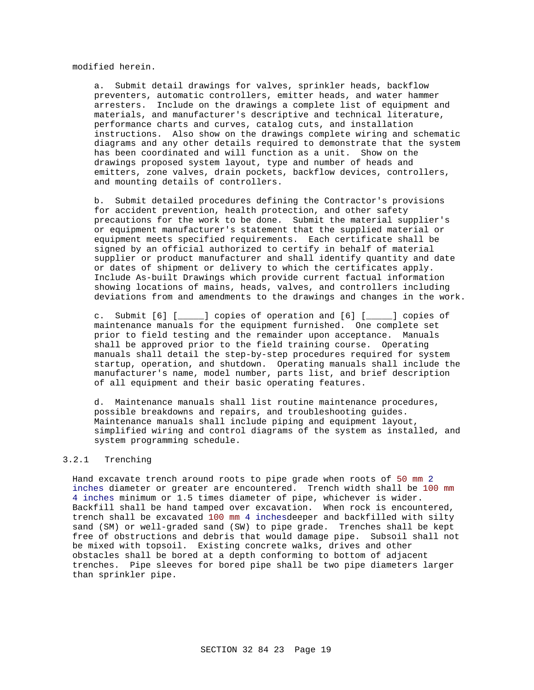modified herein.

a. Submit detail drawings for valves, sprinkler heads, backflow preventers, automatic controllers, emitter heads, and water hammer arresters. Include on the drawings a complete list of equipment and materials, and manufacturer's descriptive and technical literature, performance charts and curves, catalog cuts, and installation instructions. Also show on the drawings complete wiring and schematic diagrams and any other details required to demonstrate that the system has been coordinated and will function as a unit. Show on the drawings proposed system layout, type and number of heads and emitters, zone valves, drain pockets, backflow devices, controllers, and mounting details of controllers.

b. Submit detailed procedures defining the Contractor's provisions for accident prevention, health protection, and other safety precautions for the work to be done. Submit the material supplier's or equipment manufacturer's statement that the supplied material or equipment meets specified requirements. Each certificate shall be signed by an official authorized to certify in behalf of material supplier or product manufacturer and shall identify quantity and date or dates of shipment or delivery to which the certificates apply. Include As-built Drawings which provide current factual information showing locations of mains, heads, valves, and controllers including deviations from and amendments to the drawings and changes in the work.

c. Submit [6] [\_\_\_\_\_] copies of operation and [6] [\_\_\_\_\_] copies of maintenance manuals for the equipment furnished. One complete set prior to field testing and the remainder upon acceptance. Manuals shall be approved prior to the field training course. Operating manuals shall detail the step-by-step procedures required for system startup, operation, and shutdown. Operating manuals shall include the manufacturer's name, model number, parts list, and brief description of all equipment and their basic operating features.

d. Maintenance manuals shall list routine maintenance procedures, possible breakdowns and repairs, and troubleshooting guides. Maintenance manuals shall include piping and equipment layout, simplified wiring and control diagrams of the system as installed, and system programming schedule.

#### 3.2.1 Trenching

Hand excavate trench around roots to pipe grade when roots of 50 mm 2 inches diameter or greater are encountered. Trench width shall be 100 mm 4 inches minimum or 1.5 times diameter of pipe, whichever is wider. Backfill shall be hand tamped over excavation. When rock is encountered, trench shall be excavated 100 mm 4 inchesdeeper and backfilled with silty sand (SM) or well-graded sand (SW) to pipe grade. Trenches shall be kept free of obstructions and debris that would damage pipe. Subsoil shall not be mixed with topsoil. Existing concrete walks, drives and other obstacles shall be bored at a depth conforming to bottom of adjacent trenches. Pipe sleeves for bored pipe shall be two pipe diameters larger than sprinkler pipe.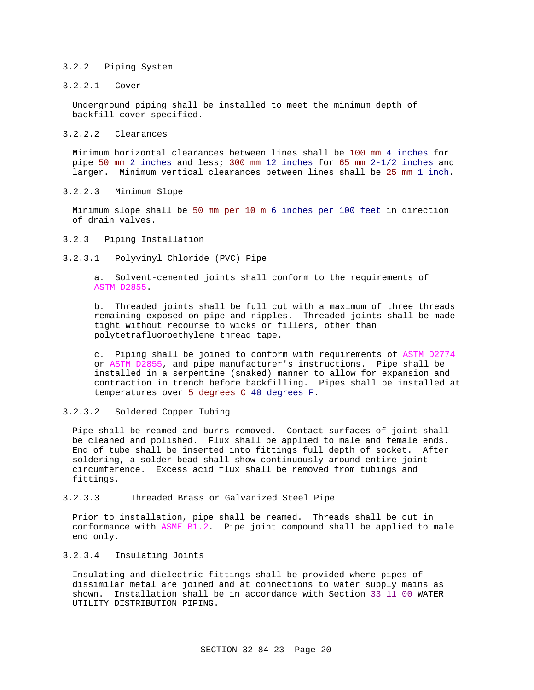#### 3.2.2 Piping System

### 3.2.2.1 Cover

Underground piping shall be installed to meet the minimum depth of backfill cover specified.

#### 3.2.2.2 Clearances

Minimum horizontal clearances between lines shall be 100 mm 4 inches for pipe 50 mm 2 inches and less; 300 mm 12 inches for 65 mm 2-1/2 inches and larger. Minimum vertical clearances between lines shall be 25 mm 1 inch.

#### 3.2.2.3 Minimum Slope

Minimum slope shall be 50 mm per 10 m 6 inches per 100 feet in direction of drain valves.

#### 3.2.3 Piping Installation

3.2.3.1 Polyvinyl Chloride (PVC) Pipe

a. Solvent-cemented joints shall conform to the requirements of ASTM D2855.

b. Threaded joints shall be full cut with a maximum of three threads remaining exposed on pipe and nipples. Threaded joints shall be made tight without recourse to wicks or fillers, other than polytetrafluoroethylene thread tape.

c. Piping shall be joined to conform with requirements of ASTM D2774 or ASTM D2855, and pipe manufacturer's instructions. Pipe shall be installed in a serpentine (snaked) manner to allow for expansion and contraction in trench before backfilling. Pipes shall be installed at temperatures over 5 degrees C 40 degrees F.

3.2.3.2 Soldered Copper Tubing

Pipe shall be reamed and burrs removed. Contact surfaces of joint shall be cleaned and polished. Flux shall be applied to male and female ends. End of tube shall be inserted into fittings full depth of socket. After soldering, a solder bead shall show continuously around entire joint circumference. Excess acid flux shall be removed from tubings and fittings.

3.2.3.3 Threaded Brass or Galvanized Steel Pipe

Prior to installation, pipe shall be reamed. Threads shall be cut in conformance with ASME B1.2. Pipe joint compound shall be applied to male end only.

### 3.2.3.4 Insulating Joints

Insulating and dielectric fittings shall be provided where pipes of dissimilar metal are joined and at connections to water supply mains as shown. Installation shall be in accordance with Section 33 11 00 WATER UTILITY DISTRIBUTION PIPING.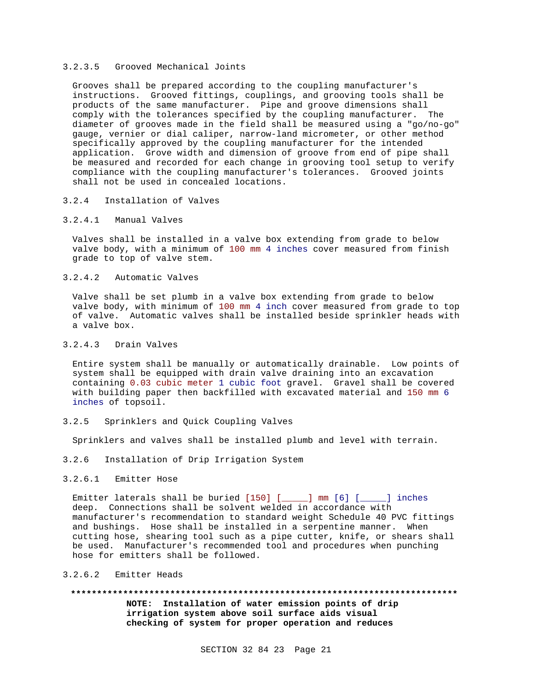#### 3.2.3.5 Grooved Mechanical Joints

Grooves shall be prepared according to the coupling manufacturer's instructions. Grooved fittings, couplings, and grooving tools shall be products of the same manufacturer. Pipe and groove dimensions shall comply with the tolerances specified by the coupling manufacturer. The diameter of grooves made in the field shall be measured using a "go/no-go" gauge, vernier or dial caliper, narrow-land micrometer, or other method specifically approved by the coupling manufacturer for the intended application. Grove width and dimension of groove from end of pipe shall be measured and recorded for each change in grooving tool setup to verify compliance with the coupling manufacturer's tolerances. Grooved joints shall not be used in concealed locations.

#### 3.2.4 Installation of Valves

3.2.4.1 Manual Valves

Valves shall be installed in a valve box extending from grade to below valve body, with a minimum of 100 mm 4 inches cover measured from finish grade to top of valve stem.

3.2.4.2 Automatic Valves

Valve shall be set plumb in a valve box extending from grade to below valve body, with minimum of 100 mm 4 inch cover measured from grade to top of valve. Automatic valves shall be installed beside sprinkler heads with a valve box.

#### 3.2.4.3 Drain Valves

Entire system shall be manually or automatically drainable. Low points of system shall be equipped with drain valve draining into an excavation containing 0.03 cubic meter 1 cubic foot gravel. Gravel shall be covered with building paper then backfilled with excavated material and 150 mm 6 inches of topsoil.

3.2.5 Sprinklers and Quick Coupling Valves

Sprinklers and valves shall be installed plumb and level with terrain.

- 3.2.6 Installation of Drip Irrigation System
- 3.2.6.1 Emitter Hose

Emitter laterals shall be buried  $[150]$  [\_\_\_\_\_] mm  $[6]$  [\_\_\_\_] inches deep. Connections shall be solvent welded in accordance with manufacturer's recommendation to standard weight Schedule 40 PVC fittings and bushings. Hose shall be installed in a serpentine manner. When cutting hose, shearing tool such as a pipe cutter, knife, or shears shall be used. Manufacturer's recommended tool and procedures when punching hose for emitters shall be followed.

#### 3.2.6.2 Emitter Heads

**\*\*\*\*\*\*\*\*\*\*\*\*\*\*\*\*\*\*\*\*\*\*\*\*\*\*\*\*\*\*\*\*\*\*\*\*\*\*\*\*\*\*\*\*\*\*\*\*\*\*\*\*\*\*\*\*\*\*\*\*\*\*\*\*\*\*\*\*\*\*\*\*\*\* NOTE: Installation of water emission points of drip irrigation system above soil surface aids visual checking of system for proper operation and reduces**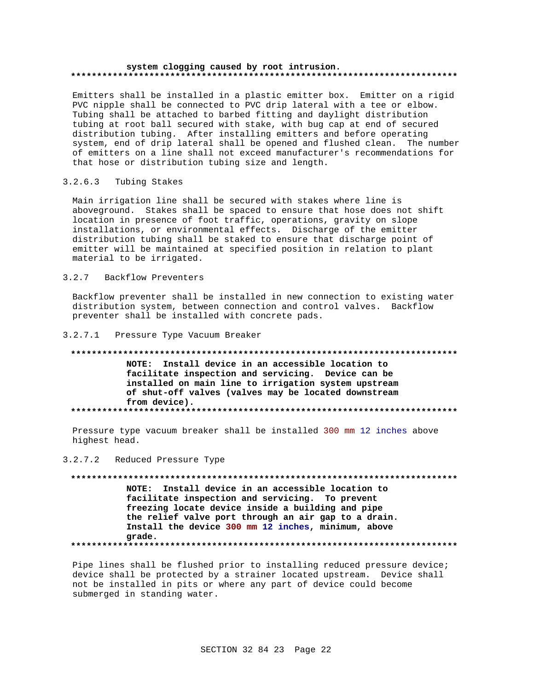#### system clogging caused by root intrusion.

Emitters shall be installed in a plastic emitter box. Emitter on a rigid PVC nipple shall be connected to PVC drip lateral with a tee or elbow. Tubing shall be attached to barbed fitting and daylight distribution tubing at root ball secured with stake, with bug cap at end of secured distribution tubing. After installing emitters and before operating system, end of drip lateral shall be opened and flushed clean. The number of emitters on a line shall not exceed manufacturer's recommendations for that hose or distribution tubing size and length.

#### $3.2.6.3$ Tubing Stakes

Main irrigation line shall be secured with stakes where line is aboveground. Stakes shall be spaced to ensure that hose does not shift location in presence of foot traffic, operations, gravity on slope installations, or environmental effects. Discharge of the emitter distribution tubing shall be staked to ensure that discharge point of emitter will be maintained at specified position in relation to plant material to be irrigated.

#### $3.2.7$ Backflow Preventers

Backflow preventer shall be installed in new connection to existing water distribution system, between connection and control valves. Backflow preventer shall be installed with concrete pads.

#### 3.2.7.1 Pressure Type Vacuum Breaker

### NOTE: Install device in an accessible location to facilitate inspection and servicing. Device can be installed on main line to irrigation system upstream of shut-off valves (valves may be located downstream from device).

Pressure type vacuum breaker shall be installed 300 mm 12 inches above highest head.

### 3.2.7.2 Reduced Pressure Type

NOTE: Install device in an accessible location to facilitate inspection and servicing. To prevent freezing locate device inside a building and pipe the relief valve port through an air gap to a drain. Install the device 300 mm 12 inches, minimum, above grade. 

Pipe lines shall be flushed prior to installing reduced pressure device; device shall be protected by a strainer located upstream. Device shall not be installed in pits or where any part of device could become submerged in standing water.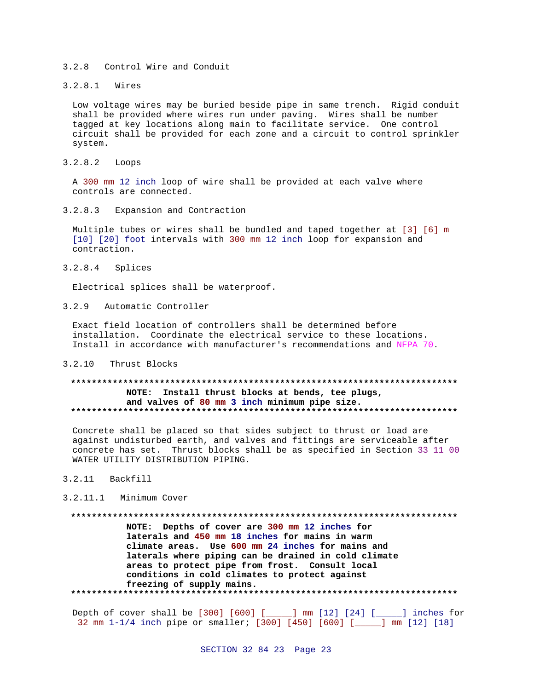#### 3.2.8 Control Wire and Conduit

3.2.8.1 Wires

Low voltage wires may be buried beside pipe in same trench. Rigid conduit shall be provided where wires run under paving. Wires shall be number tagged at key locations along main to facilitate service. One control circuit shall be provided for each zone and a circuit to control sprinkler system.

3.2.8.2 Loops

A 300 mm 12 inch loop of wire shall be provided at each valve where controls are connected.

3.2.8.3 Expansion and Contraction

Multiple tubes or wires shall be bundled and taped together at [3] [6] m [10] [20] foot intervals with 300 mm 12 inch loop for expansion and contraction.

3.2.8.4 Splices

Electrical splices shall be waterproof.

3.2.9 Automatic Controller

Exact field location of controllers shall be determined before installation. Coordinate the electrical service to these locations. Install in accordance with manufacturer's recommendations and NFPA 70.

3.2.10 Thrust Blocks

### **\*\*\*\*\*\*\*\*\*\*\*\*\*\*\*\*\*\*\*\*\*\*\*\*\*\*\*\*\*\*\*\*\*\*\*\*\*\*\*\*\*\*\*\*\*\*\*\*\*\*\*\*\*\*\*\*\*\*\*\*\*\*\*\*\*\*\*\*\*\*\*\*\*\* NOTE: Install thrust blocks at bends, tee plugs, and valves of 80 mm 3 inch minimum pipe size. \*\*\*\*\*\*\*\*\*\*\*\*\*\*\*\*\*\*\*\*\*\*\*\*\*\*\*\*\*\*\*\*\*\*\*\*\*\*\*\*\*\*\*\*\*\*\*\*\*\*\*\*\*\*\*\*\*\*\*\*\*\*\*\*\*\*\*\*\*\*\*\*\*\***

Concrete shall be placed so that sides subject to thrust or load are against undisturbed earth, and valves and fittings are serviceable after concrete has set. Thrust blocks shall be as specified in Section 33 11 00 WATER UTILITY DISTRIBUTION PIPING.

3.2.11 Backfill

3.2.11.1 Minimum Cover

**\*\*\*\*\*\*\*\*\*\*\*\*\*\*\*\*\*\*\*\*\*\*\*\*\*\*\*\*\*\*\*\*\*\*\*\*\*\*\*\*\*\*\*\*\*\*\*\*\*\*\*\*\*\*\*\*\*\*\*\*\*\*\*\*\*\*\*\*\*\*\*\*\*\***

**NOTE: Depths of cover are 300 mm 12 inches for laterals and 450 mm 18 inches for mains in warm climate areas. Use 600 mm 24 inches for mains and laterals where piping can be drained in cold climate areas to protect pipe from frost. Consult local conditions in cold climates to protect against freezing of supply mains. \*\*\*\*\*\*\*\*\*\*\*\*\*\*\*\*\*\*\*\*\*\*\*\*\*\*\*\*\*\*\*\*\*\*\*\*\*\*\*\*\*\*\*\*\*\*\*\*\*\*\*\*\*\*\*\*\*\*\*\*\*\*\*\*\*\*\*\*\*\*\*\*\*\***

Depth of cover shall be [300] [600] [\_\_\_\_\_] mm [12] [24] [\_\_\_\_\_] inches for 32 mm 1-1/4 inch pipe or smaller; [300] [450] [600] [\_\_\_\_\_] mm [12] [18]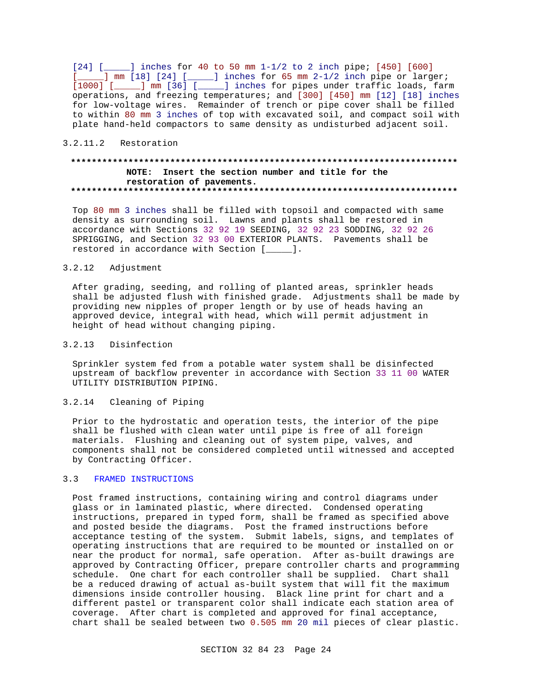$[24]$  [  $\cdots$  ] inches for 40 to 50 mm 1-1/2 to 2 inch pipe; [450] [600] [\_\_\_\_\_] mm [18] [24] [\_\_\_\_] inches for 65 mm 2-1/2 inch pipe or larger; [1000] [\_\_\_\_\_] mm [36] [\_\_\_\_\_] inches for pipes under traffic loads, farm operations, and freezing temperatures; and [300] [450] mm [12] [18] inches for low-voltage wires. Remainder of trench or pipe cover shall be filled to within 80 mm 3 inches of top with excavated soil, and compact soil with plate hand-held compactors to same density as undisturbed adjacent soil.

#### 3.2.11.2 Restoration

### **\*\*\*\*\*\*\*\*\*\*\*\*\*\*\*\*\*\*\*\*\*\*\*\*\*\*\*\*\*\*\*\*\*\*\*\*\*\*\*\*\*\*\*\*\*\*\*\*\*\*\*\*\*\*\*\*\*\*\*\*\*\*\*\*\*\*\*\*\*\*\*\*\*\* NOTE: Insert the section number and title for the restoration of pavements. \*\*\*\*\*\*\*\*\*\*\*\*\*\*\*\*\*\*\*\*\*\*\*\*\*\*\*\*\*\*\*\*\*\*\*\*\*\*\*\*\*\*\*\*\*\*\*\*\*\*\*\*\*\*\*\*\*\*\*\*\*\*\*\*\*\*\*\*\*\*\*\*\*\***

Top 80 mm 3 inches shall be filled with topsoil and compacted with same density as surrounding soil. Lawns and plants shall be restored in accordance with Sections 32 92 19 SEEDING, 32 92 23 SODDING, 32 92 26 SPRIGGING, and Section 32 93 00 EXTERIOR PLANTS. Pavements shall be restored in accordance with Section [\_\_\_\_\_].

#### 3.2.12 Adjustment

After grading, seeding, and rolling of planted areas, sprinkler heads shall be adjusted flush with finished grade. Adjustments shall be made by providing new nipples of proper length or by use of heads having an approved device, integral with head, which will permit adjustment in height of head without changing piping.

#### 3.2.13 Disinfection

Sprinkler system fed from a potable water system shall be disinfected upstream of backflow preventer in accordance with Section 33 11 00 WATER UTILITY DISTRIBUTION PIPING.

### 3.2.14 Cleaning of Piping

Prior to the hydrostatic and operation tests, the interior of the pipe shall be flushed with clean water until pipe is free of all foreign materials. Flushing and cleaning out of system pipe, valves, and components shall not be considered completed until witnessed and accepted by Contracting Officer.

### 3.3 FRAMED INSTRUCTIONS

Post framed instructions, containing wiring and control diagrams under glass or in laminated plastic, where directed. Condensed operating instructions, prepared in typed form, shall be framed as specified above and posted beside the diagrams. Post the framed instructions before acceptance testing of the system. Submit labels, signs, and templates of operating instructions that are required to be mounted or installed on or near the product for normal, safe operation. After as-built drawings are approved by Contracting Officer, prepare controller charts and programming schedule. One chart for each controller shall be supplied. Chart shall be a reduced drawing of actual as-built system that will fit the maximum dimensions inside controller housing. Black line print for chart and a different pastel or transparent color shall indicate each station area of coverage. After chart is completed and approved for final acceptance, chart shall be sealed between two 0.505 mm 20 mil pieces of clear plastic.